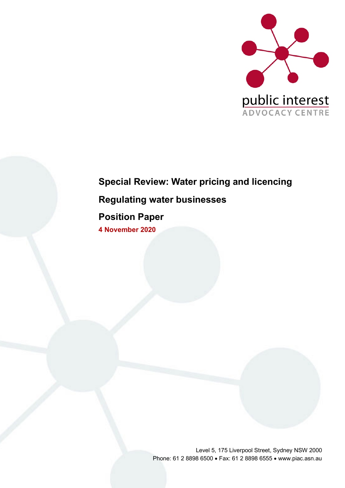

# **Special Review: Water pricing and licencing Regulating water businesses**

# **Position Paper**

**4 November 2020**

Level 5, 175 Liverpool Street, Sydney NSW 2000 Phone: 61 2 8898 6500 • Fax: 61 2 8898 6555 • www.piac.asn.au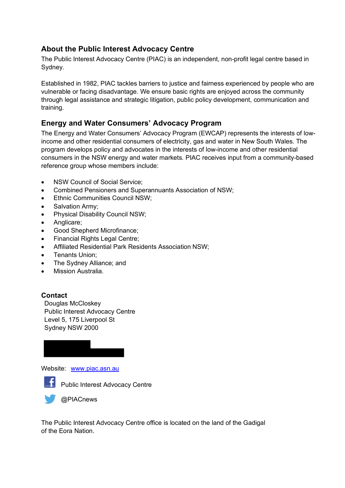### **About the Public Interest Advocacy Centre**

The Public Interest Advocacy Centre (PIAC) is an independent, non-profit legal centre based in Sydney.

Established in 1982, PIAC tackles barriers to justice and fairness experienced by people who are vulnerable or facing disadvantage. We ensure basic rights are enjoyed across the community through legal assistance and strategic litigation, public policy development, communication and training.

### **Energy and Water Consumers' Advocacy Program**

The Energy and Water Consumers' Advocacy Program (EWCAP) represents the interests of lowincome and other residential consumers of electricity, gas and water in New South Wales. The program develops policy and advocates in the interests of low-income and other residential consumers in the NSW energy and water markets. PIAC receives input from a community-based reference group whose members include:

- NSW Council of Social Service:
- Combined Pensioners and Superannuants Association of NSW;
- Ethnic Communities Council NSW;
- Salvation Army;
- Physical Disability Council NSW;
- Anglicare;
- Good Shepherd Microfinance;
- Financial Rights Legal Centre;
- Affiliated Residential Park Residents Association NSW;
- Tenants Union;
- The Sydney Alliance; and
- Mission Australia.

#### **Contact**

Douglas McCloskey Public Interest Advocacy Centre Level 5, 175 Liverpool St Sydney NSW 2000

Website: www.piac.asn.au



**Fi** Public Interest Advocacy Centre

**OPIACnews** 

The Public Interest Advocacy Centre office is located on the land of the Gadigal of the Eora Nation.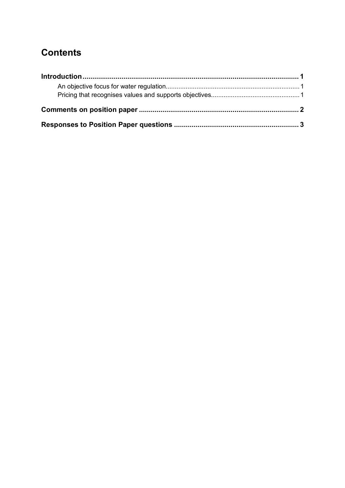# **Contents**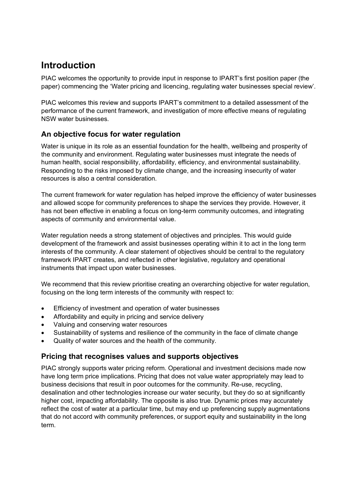# **Introduction**

PIAC welcomes the opportunity to provide input in response to IPART's first position paper (the paper) commencing the 'Water pricing and licencing, regulating water businesses special review'.

PIAC welcomes this review and supports IPART's commitment to a detailed assessment of the performance of the current framework, and investigation of more effective means of regulating NSW water businesses.

### **An objective focus for water regulation**

Water is unique in its role as an essential foundation for the health, wellbeing and prosperity of the community and environment. Regulating water businesses must integrate the needs of human health, social responsibility, affordability, efficiency, and environmental sustainability. Responding to the risks imposed by climate change, and the increasing insecurity of water resources is also a central consideration.

The current framework for water regulation has helped improve the efficiency of water businesses and allowed scope for community preferences to shape the services they provide. However, it has not been effective in enabling a focus on long-term community outcomes, and integrating aspects of community and environmental value.

Water regulation needs a strong statement of objectives and principles. This would guide development of the framework and assist businesses operating within it to act in the long term interests of the community. A clear statement of objectives should be central to the regulatory framework IPART creates, and reflected in other legislative, regulatory and operational instruments that impact upon water businesses.

We recommend that this review prioritise creating an overarching objective for water regulation, focusing on the long term interests of the community with respect to:

- Efficiency of investment and operation of water businesses
- Affordability and equity in pricing and service delivery
- Valuing and conserving water resources
- Sustainability of systems and resilience of the community in the face of climate change
- Quality of water sources and the health of the community.

### **Pricing that recognises values and supports objectives**

PIAC strongly supports water pricing reform. Operational and investment decisions made now have long term price implications. Pricing that does not value water appropriately may lead to business decisions that result in poor outcomes for the community. Re-use, recycling, desalination and other technologies increase our water security, but they do so at significantly higher cost, impacting affordability. The opposite is also true. Dynamic prices may accurately reflect the cost of water at a particular time, but may end up preferencing supply augmentations that do not accord with community preferences, or support equity and sustainability in the long term.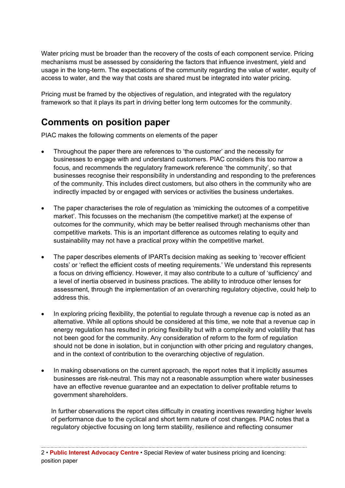Water pricing must be broader than the recovery of the costs of each component service. Pricing mechanisms must be assessed by considering the factors that influence investment, yield and usage in the long-term. The expectations of the community regarding the value of water, equity of access to water, and the way that costs are shared must be integrated into water pricing.

Pricing must be framed by the objectives of regulation, and integrated with the regulatory framework so that it plays its part in driving better long term outcomes for the community.

## **Comments on position paper**

PIAC makes the following comments on elements of the paper

- Throughout the paper there are references to 'the customer' and the necessity for businesses to engage with and understand customers. PIAC considers this too narrow a focus, and recommends the regulatory framework reference 'the community', so that businesses recognise their responsibility in understanding and responding to the preferences of the community. This includes direct customers, but also others in the community who are indirectly impacted by or engaged with services or activities the business undertakes.
- The paper characterises the role of regulation as 'mimicking the outcomes of a competitive market'. This focusses on the mechanism (the competitive market) at the expense of outcomes for the community, which may be better realised through mechanisms other than competitive markets. This is an important difference as outcomes relating to equity and sustainability may not have a practical proxy within the competitive market.
- The paper describes elements of IPARTs decision making as seeking to 'recover efficient costs' or 'reflect the efficient costs of meeting requirements.' We understand this represents a focus on driving efficiency. However, it may also contribute to a culture of 'sufficiency' and a level of inertia observed in business practices. The ability to introduce other lenses for assessment, through the implementation of an overarching regulatory objective, could help to address this.
- In exploring pricing flexibility, the potential to regulate through a revenue cap is noted as an alternative. While all options should be considered at this time, we note that a revenue cap in energy regulation has resulted in pricing flexibility but with a complexity and volatility that has not been good for the community. Any consideration of reform to the form of regulation should not be done in isolation, but in conjunction with other pricing and regulatory changes, and in the context of contribution to the overarching objective of regulation.
- In making observations on the current approach, the report notes that it implicitly assumes businesses are risk-neutral. This may not a reasonable assumption where water businesses have an effective revenue guarantee and an expectation to deliver profitable returns to government shareholders.

In further observations the report cites difficulty in creating incentives rewarding higher levels of performance due to the cyclical and short term nature of cost changes. PIAC notes that a regulatory objective focusing on long term stability, resilience and reflecting consumer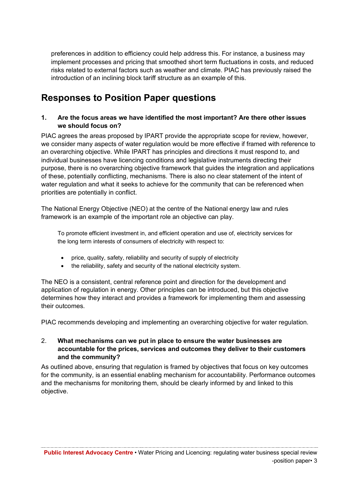preferences in addition to efficiency could help address this. For instance, a business may implement processes and pricing that smoothed short term fluctuations in costs, and reduced risks related to external factors such as weather and climate. PIAC has previously raised the introduction of an inclining block tariff structure as an example of this.

## **Responses to Position Paper questions**

#### **1. Are the focus areas we have identified the most important? Are there other issues we should focus on?**

PIAC agrees the areas proposed by IPART provide the appropriate scope for review, however, we consider many aspects of water regulation would be more effective if framed with reference to an overarching objective. While IPART has principles and directions it must respond to, and individual businesses have licencing conditions and legislative instruments directing their purpose, there is no overarching objective framework that guides the integration and applications of these, potentially conflicting, mechanisms. There is also no clear statement of the intent of water regulation and what it seeks to achieve for the community that can be referenced when priorities are potentially in conflict.

The National Energy Objective (NEO) at the centre of the National energy law and rules framework is an example of the important role an objective can play.

To promote efficient investment in, and efficient operation and use of, electricity services for the long term interests of consumers of electricity with respect to:

- price, quality, safety, reliability and security of supply of electricity
- the reliability, safety and security of the national electricity system.

The NEO is a consistent, central reference point and direction for the development and application of regulation in energy. Other principles can be introduced, but this objective determines how they interact and provides a framework for implementing them and assessing their outcomes.

PIAC recommends developing and implementing an overarching objective for water regulation.

#### 2. **What mechanisms can we put in place to ensure the water businesses are accountable for the prices, services and outcomes they deliver to their customers and the community?**

As outlined above, ensuring that regulation is framed by objectives that focus on key outcomes for the community, is an essential enabling mechanism for accountability. Performance outcomes and the mechanisms for monitoring them, should be clearly informed by and linked to this objective.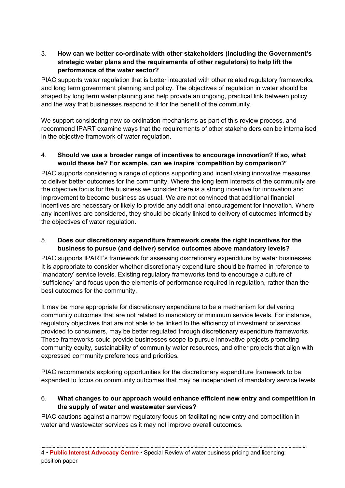#### 3. **How can we better co-ordinate with other stakeholders (including the Government's strategic water plans and the requirements of other regulators) to help lift the performance of the water sector?**

PIAC supports water regulation that is better integrated with other related regulatory frameworks, and long term government planning and policy. The objectives of regulation in water should be shaped by long term water planning and help provide an ongoing, practical link between policy and the way that businesses respond to it for the benefit of the community.

We support considering new co-ordination mechanisms as part of this review process, and recommend IPART examine ways that the requirements of other stakeholders can be internalised in the objective framework of water regulation.

#### 4. **Should we use a broader range of incentives to encourage innovation? If so, what would these be? For example, can we inspire 'competition by comparison?'**

PIAC supports considering a range of options supporting and incentivising innovative measures to deliver better outcomes for the community. Where the long term interests of the community are the objective focus for the business we consider there is a strong incentive for innovation and improvement to become business as usual. We are not convinced that additional financial incentives are necessary or likely to provide any additional encouragement for innovation. Where any incentives are considered, they should be clearly linked to delivery of outcomes informed by the objectives of water regulation.

#### 5. **Does our discretionary expenditure framework create the right incentives for the business to pursue (and deliver) service outcomes above mandatory levels?**

PIAC supports IPART's framework for assessing discretionary expenditure by water businesses. It is appropriate to consider whether discretionary expenditure should be framed in reference to 'mandatory' service levels. Existing regulatory frameworks tend to encourage a culture of 'sufficiency' and focus upon the elements of performance required in regulation, rather than the best outcomes for the community.

It may be more appropriate for discretionary expenditure to be a mechanism for delivering community outcomes that are not related to mandatory or minimum service levels. For instance, regulatory objectives that are not able to be linked to the efficiency of investment or services provided to consumers, may be better regulated through discretionary expenditure frameworks. These frameworks could provide businesses scope to pursue innovative projects promoting community equity, sustainability of community water resources, and other projects that align with expressed community preferences and priorities.

PIAC recommends exploring opportunities for the discretionary expenditure framework to be expanded to focus on community outcomes that may be independent of mandatory service levels

#### 6. **What changes to our approach would enhance efficient new entry and competition in the supply of water and wastewater services?**

PIAC cautions against a narrow regulatory focus on facilitating new entry and competition in water and wastewater services as it may not improve overall outcomes.

4 • **Public Interest Advocacy Centre** • Special Review of water business pricing and licencing: position paper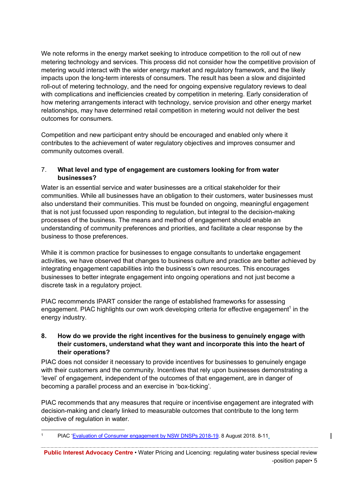We note reforms in the energy market seeking to introduce competition to the roll out of new metering technology and services. This process did not consider how the competitive provision of metering would interact with the wider energy market and regulatory framework, and the likely impacts upon the long-term interests of consumers. The result has been a slow and disjointed roll-out of metering technology, and the need for ongoing expensive regulatory reviews to deal with complications and inefficiencies created by competition in metering. Early consideration of how metering arrangements interact with technology, service provision and other energy market relationships, may have determined retail competition in metering would not deliver the best outcomes for consumers.

Competition and new participant entry should be encouraged and enabled only where it contributes to the achievement of water regulatory objectives and improves consumer and community outcomes overall.

#### 7. **What level and type of engagement are customers looking for from water businesses?**

Water is an essential service and water businesses are a critical stakeholder for their communities. While all businesses have an obligation to their customers, water businesses must also understand their communities. This must be founded on ongoing, meaningful engagement that is not just focussed upon responding to regulation, but integral to the decision-making processes of the business. The means and method of engagement should enable an understanding of community preferences and priorities, and facilitate a clear response by the business to those preferences.

While it is common practice for businesses to engage consultants to undertake engagement activities, we have observed that changes to business culture and practice are better achieved by integrating engagement capabilities into the business's own resources. This encourages businesses to better integrate engagement into ongoing operations and not just become a discrete task in a regulatory project.

PIAC recommends IPART consider the range of established frameworks for assessing engagement. PIAC highlights our own work developing criteria for effective engagement<sup>1</sup> in the energy industry.

#### **8. How do we provide the right incentives for the business to genuinely engage with their customers, understand what they want and incorporate this into the heart of their operations?**

PIAC does not consider it necessary to provide incentives for businesses to genuinely engage with their customers and the community. Incentives that rely upon businesses demonstrating a 'level' of engagement, independent of the outcomes of that engagement, are in danger of becoming a parallel process and an exercise in 'box-ticking'.

PIAC recommends that any measures that require or incentivise engagement are integrated with decision-making and clearly linked to measurable outcomes that contribute to the long term objective of regulation in water.

 <sup>1</sup> PIAC 'Evaluation of Consumer engagement by NSW DNSPs 2018-19. 8 August 2018. 8-11.

**Public Interest Advocacy Centre •** Water Pricing and Licencing: regulating water business special review -position paper• 5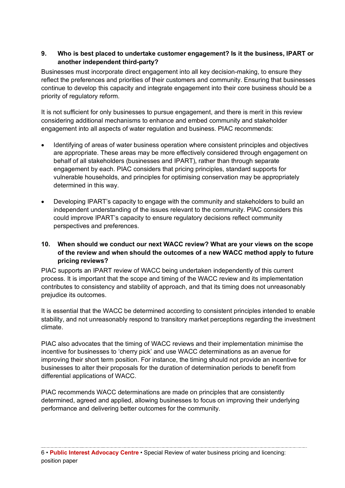#### **9. Who is best placed to undertake customer engagement? Is it the business, IPART or another independent third-party?**

Businesses must incorporate direct engagement into all key decision-making, to ensure they reflect the preferences and priorities of their customers and community. Ensuring that businesses continue to develop this capacity and integrate engagement into their core business should be a priority of regulatory reform.

It is not sufficient for only businesses to pursue engagement, and there is merit in this review considering additional mechanisms to enhance and embed community and stakeholder engagement into all aspects of water regulation and business. PIAC recommends:

- Identifying of areas of water business operation where consistent principles and objectives are appropriate. These areas may be more effectively considered through engagement on behalf of all stakeholders (businesses and IPART), rather than through separate engagement by each. PIAC considers that pricing principles, standard supports for vulnerable households, and principles for optimising conservation may be appropriately determined in this way.
- Developing IPART's capacity to engage with the community and stakeholders to build an independent understanding of the issues relevant to the community. PIAC considers this could improve IPART's capacity to ensure regulatory decisions reflect community perspectives and preferences.

#### **10. When should we conduct our next WACC review? What are your views on the scope of the review and when should the outcomes of a new WACC method apply to future pricing reviews?**

PIAC supports an IPART review of WACC being undertaken independently of this current process. It is important that the scope and timing of the WACC review and its implementation contributes to consistency and stability of approach, and that its timing does not unreasonably prejudice its outcomes.

It is essential that the WACC be determined according to consistent principles intended to enable stability, and not unreasonably respond to transitory market perceptions regarding the investment climate.

PIAC also advocates that the timing of WACC reviews and their implementation minimise the incentive for businesses to 'cherry pick' and use WACC determinations as an avenue for improving their short term position. For instance, the timing should not provide an incentive for businesses to alter their proposals for the duration of determination periods to benefit from differential applications of WACC.

PIAC recommends WACC determinations are made on principles that are consistently determined, agreed and applied, allowing businesses to focus on improving their underlying performance and delivering better outcomes for the community.

6 • **Public Interest Advocacy Centre** • Special Review of water business pricing and licencing: position paper